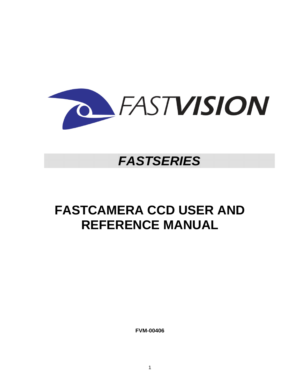

# *FASTSERIES*

# **FASTCAMERA CCD USER AND REFERENCE MANUAL**

**FVM-00406**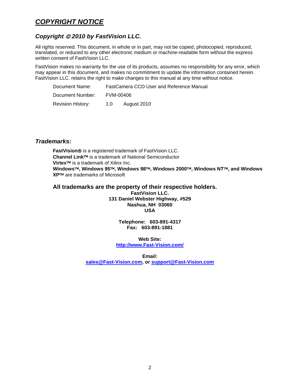# *COPYRIGHT NOTICE*

# *Copyright* © *2010 by FastVision LLC.*

All rights reserved. This document, in whole or in part, may not be copied, photocopied, reproduced, translated, or reduced to any other electronic medium or machine-readable form without the express written consent of FastVision LLC.

FastVision makes no warranty for the use of its products, assumes no responsibility for any error, which may appear in this document, and makes no commitment to update the information contained herein. FastVision LLC. retains the right to make changes to this manual at any time without notice.

| Document Name:    | FastCamera CCD User and Reference Manual |  |
|-------------------|------------------------------------------|--|
| Document Number:  | FVM-00406                                |  |
| Revision History: | August 2010<br>1.0                       |  |

# *Trademarks:*

**FastVision**® is a registered trademark of FastVision LLC. **Channel Link**™ is a trademark of National Semiconductor **Virtex**™ is a trademark of Xilinx Inc. **Windows**™**, Windows 95**™**, Windows 98**™**, Windows 2000**™**, Windows NT**™**, and Windows XP**™ are trademarks of Microsoft

### **All trademarks are the property of their respective holders.**

**FastVision LLC. 131 Daniel Webster Highway, #529 Nashua, NH 03060 USA** 

> **Telephone: 603-891-4317 Fax: 603-891-1881**

**Web Site: http://www.Fast-Vision.com/**

**Email: sales@Fast-Vision.com, or support@Fast-Vision.com**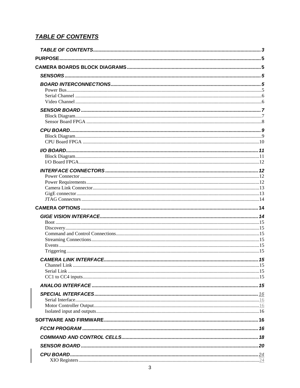# **TABLE OF CONTENTS**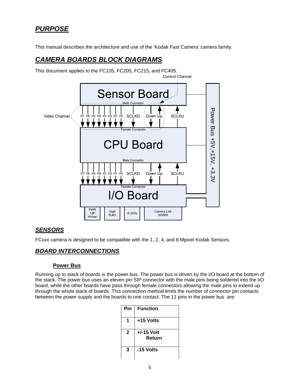# *PURPOSE*

This manual describes the architecture and use of the 'Kodak Fast Camera' camera family.

# *CAMERA BOARDS BLOCK DIAGRAMS*



This document applies to the FC105, FC205, FC215, and FC405.

# *SENSORS*

FCxxx camera is designed to be compatible with the 1, 2, 4, and 8 Mpixel Kodak Sensors.

### *BOARD INTERCONNECTIONS*

#### **Power Bus**

Running up to stack of boards is the power bus. The power bus is driven by the I/O board at the bottom of the stack. The power bus uses an eleven pin SIP connector with the male pins being soldered into the I/O board, while the other boards have pass through female connectors allowing the male pins to extend up through the whole stack of boards. This connection method limits the number of connector pin contacts between the power supply and the boards to one contact. The 11 pins in the power bus are:

| Pin         | <b>Function</b>        |
|-------------|------------------------|
|             | +15 Volts              |
| $\mathbf 2$ | $+/-15$ Volt<br>Return |
| 3           | -15 Volts              |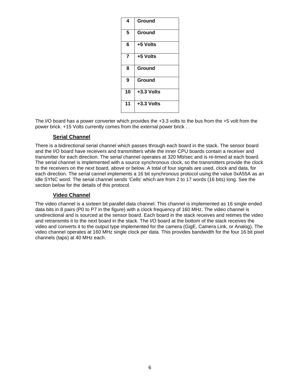| 4  | Ground       |
|----|--------------|
| 5  | Ground       |
| 6  | +5 Volts     |
| 7  | +5 Volts     |
| 8  | Ground       |
| 9  | Ground       |
| 10 | $+3.3$ Volts |
| 11 | $+3.3$ Volts |

The I/O board has a power converter which provides the +3.3 volts to the bus from the +5 volt from the power brick. +15 Volts currently comes from the external power brick . .

### **Serial Channel**

There is a bidirectional serial channel which passes through each board in the stack. The sensor board and the I/O board have receivers and transmitters while the inner CPU boards contain a receiver and transmitter for each direction. The serial channel operates at 320 Mb/sec and is re-timed at each board. The serial channel is implemented with a source synchronous clock, so the transmitters provide the clock to the receivers on the next board, above or below. A total of four signals are used, clock and data, for each direction. The serial cannel implements a 16 bit synchronous protocol using the value 0xA55A as an idle SYNC word. The serial channel sends 'Cells' which are from 2 to 17 words (16 bits) long. See the section below for the details of this protocol.

### **Video Channel**

The video channel is a sixteen bit parallel data channel. This channel is implemented as 16 single ended data bits in 8 pairs (P0 to P7 in the figure) with a clock frequency of 160 MHz. The video channel is unidirectional and is sourced at the sensor board. Each board in the stack receives and retimes the video and retransmits it to the next board in the stack. The I/O board at the bottom of the stack receives the video and converts it to the output type implemented for the camera (GigE, Camera Link, or Analog). The video channel operates at 160 MHz single clock per data. This provides bandwidth for the four 16 bit pixel channels (taps) at 40 MHz each.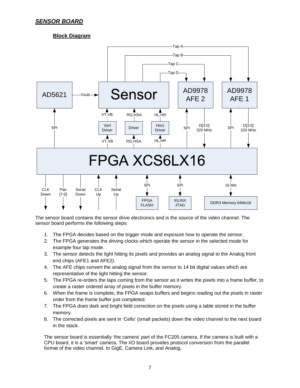# *SENSOR BOARD*

# **Block Diagram**



The sensor board contains the sensor drive electronics and is the source of the video channel. The sensor board performs the following steps:

- 1. The FPGA decides based on the trigger mode and exposure how to operate the sensor.
- 2. The FPGA generates the driving clocks which operate the sensor in the selected mode for example four tap mode.
- 3. The sensor detects the light hitting its pixels and provides an analog signal to the Analog front end chips (AFE1 and AFE2).
- 4. The AFE chips convert the analog signal from the sensor to 14 bit digital values which are representative of the light hitting the sensor.
- 5. The FPGA re-orders the taps coming from the sensor as it writes the pixels into a frame buffer, to create a raster ordered array of pixels in the buffer memory.
- 6. When the frame is complete, the FPGA swaps buffers and begins reading out the pixels in raster order from the frame buffer just completed.
- 7. The FPGA does dark and bright field correction on the pixels using a table stored in the buffer memory.
- 8. The corrected pixels are sent in 'Cells' (small packets) down the video channel to the next board in the stack.

The sensor board is essentially 'the camera' part of the FC205 camera. If the camera is built with a CPU board, it is a 'smart' camera. The I/O board provides protocol conversion from the parallel format of the video channel, to GigE, Camera Link, and Analog.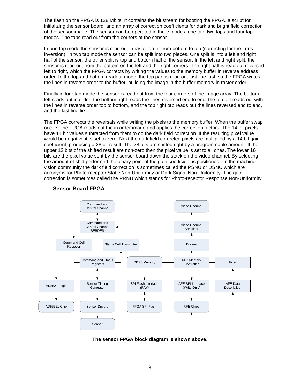The flash on the FPGA is 128 Mbits. It contains the bit stream for booting the FPGA, a script for initializing the sensor board, and an array of correction coefficients for dark and bright field correction of the sensor image. The sensor can be operated in three modes, one tap, two taps and four tap modes. The taps read out from the corners of the sensor.

In one tap mode the sensor is read out in raster order from bottom to top (correcting for the Lens inversion). In two tap mode the sensor can be split into two pieces. One split is into a left and right half of the sensor; the other split is top and bottom half of the sensor. In the left and right split, the sensor is read out from the bottom on the left and the right corners. The right half is read out reversed left to right, which the FPGA corrects by writing the values to the memory buffer in reverse address order. In the top and bottom readout mode, the top part is read out last line first, so the FPGA writes the lines in reverse order to the buffer, building the image in the buffer memory in raster order.

Finally in four tap mode the sensor is read out from the four corners of the image array. The bottom left reads out in order, the bottom right reads the lines reversed end to end, the top left reads out with the lines in reverse order top to bottom, and the top right tap reads out the lines reversed end to end, and the last line first.

The FPGA corrects the reversals while writing the pixels to the memory buffer. When the buffer swap occurs, the FPGA reads out the in order image and applies the correction factors. The 14 bit pixels have 14 bit values subtracted from them to do the dark field correction. If the resulting pixel value would be negative it is set to zero. Next the dark field corrected pixels are multiplied by a 14 bit gain coefficient, producing a 28 bit result. The 28 bits are shifted right by a programmable amount. If the upper 12 bits of the shifted result are non-zero then the pixel value is set to all ones. The lower 16 bits are the pixel value sent by the sensor board down the stack on the video channel. By selecting the amount of shift performed the binary point of the gain coefficient is positioned. In the machine vision community the dark field correction is sometimes called the PSNU or DSNU which are acronyms for Photo-receptor Static Non-Uniformity or Dark Signal Non-Uniformity. The gain correction is sometimes called the PRNU which stands for Photo-receptor Response Non-Uniformity.



# **Sensor Board FPGA**

**The sensor FPGA block diagram is shown above**.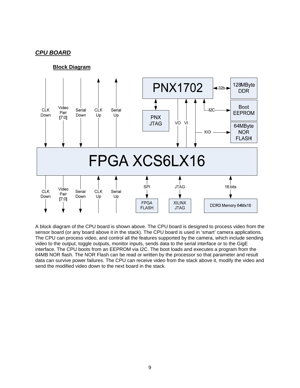# *CPU BOARD*



A block diagram of the CPU board is shown above. The CPU board is designed to process video from the sensor board (or any board above it in the stack). The CPU board is used in 'smart' camera applications. The CPU can process video, and control all the features supported by the camera, which include sending video to the output, toggle outputs, monitor inputs, sends data to the serial interface or to the GigE interface. The CPU boots from an EEPROM via I2C. The boot loads and executes a program from the 64MB NOR flash. The NOR Flash can be read or written by the processor so that parameter and result data can survive power failures. The CPU can receive video from the stack above it, modify the video and send the modified video down to the next board in the stack.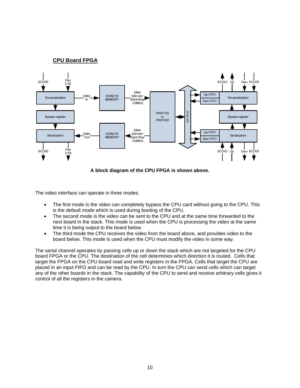### **CPU Board FPGA**



**A block diagram of the CPU FPGA is shown above.** 

The video interface can operate in three modes.

- The first mode is the video can completely bypass the CPU card without going to the CPU. This is the default mode which is used during booting of the CPU.
- The second mode is the video can be sent to the CPU and at the same time forwarded to the next board in the stack. This mode is used when the CPU is processing the video at the same time it is being output to the board below.
- The third mode the CPU receives the video from the board above, and provides video to the board below. This mode is used when the CPU must modify the video in some way.

The serial channel operates by passing cells up or down the stack which are not targeted for the CPU board FPGA or the CPU. The destination of the cell determines which direction it is routed. Cells that target the FPGA on the CPU board read and write registers in the FPGA. Cells that target the CPU are placed in an input FIFO and can be read by the CPU. In turn the CPU can send cells which can target any of the other boards in the stack. The capability of the CPU to send and receive arbitrary cells gives it control of all the registers in the camera.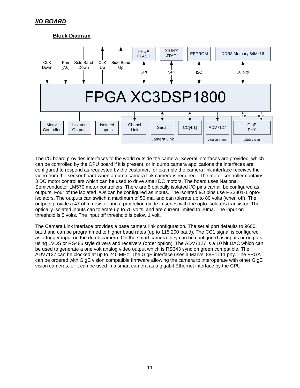# **Block Diagram**



The I/O board provides interfaces to the world outside the camera. Several interfaces are provided, which can be controlled by the CPU board if it is present, or in dumb camera applications the interfaces are configured to respond as requested by the customer, for example the camera link interface receives the video from the sensor board when a dumb camera link camera is required. The motor controller contains 3 DC motor controllers which can be used to drive small DC motors. The board uses National Semiconductor LM570 motor controllers. There are 6 optically isolated I/O pins can all be configured as outputs. Four of the isolated I/Os can be configured as inputs. The isolated I/O pins use PS2801-1 optoisolators. The outputs can switch a maximum of 50 ma, and can tolerate up to 80 volts (when off). The outputs provide a 47 ohm resistor and a protection diode in series with the opto-isolators transistor. The optically isolated inputs can tolerate up to 75 volts, and are current limited to 20ma. The input on threshold is 5 volts. The input off threshold is below 1 volt.

The Camera Link interface provides a base camera link configuration. The serial port defaults to 9600 baud and can be programmed to higher baud rates (up to 115,200 baud). The CC1 signal is configured as a trigger input on the dumb camera. On the smart camera they can be configured as inputs or outputs, using LVDS or RS485 style drivers and receivers (order option). The ADV7127 is a 10 bit DAC which can be used to generate a one volt analog video output which is RS343 sync on green compatible. The ADV7127 can be clocked at up to 240 MHz. The GigE interface uses a Marvel 88E1111 phy. The FPGA can be ordered with GigE vision compatible firmware allowing the camera to interoperate with other GigE vision cameras, or it can be used in a smart camera as a gigabit Ethernet interface by the CPU.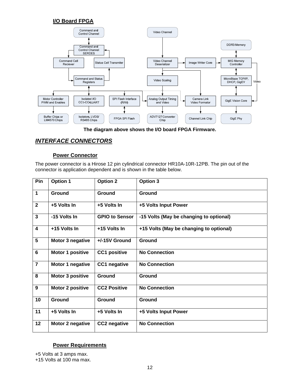# **I/O Board FPGA**



**The diagram above shows the I/O board FPGA Firmware.** 

# *INTERFACE CONNECTORS*

### **Power Connector**

The power connector is a Hirose 12 pin cylindrical connector HR10A-10R-12PB. The pin out of the connector is application dependent and is shown in the table below.

| Pin                     | <b>Option 1</b>         | <b>Option 2</b>       | Option 3                                |
|-------------------------|-------------------------|-----------------------|-----------------------------------------|
| $\mathbf 1$             | Ground                  | Ground                | Ground                                  |
| $\overline{2}$          | +5 Volts In             | +5 Volts In           | +5 Volts Input Power                    |
| $\overline{\mathbf{3}}$ | -15 Volts In            | <b>GPIO to Sensor</b> | -15 Volts (May be changing to optional) |
| 4                       | +15 Volts In            | +15 Volts In          | +15 Volts (May be changing to optional) |
| $5\phantom{1}$          | Motor 3 negative        | +/-15V Ground         | Ground                                  |
| $6\phantom{1}$          | Motor 1 positive        | <b>CC1 positive</b>   | <b>No Connection</b>                    |
| $\overline{7}$          | Motor 1 negative        | CC1 negative          | <b>No Connection</b>                    |
| 8                       | <b>Motor 3 positive</b> | Ground                | Ground                                  |
| $\boldsymbol{9}$        | Motor 2 positive        | <b>CC2 Positive</b>   | <b>No Connection</b>                    |
| 10                      | Ground                  | Ground                | Ground                                  |
| 11                      | +5 Volts In             | +5 Volts In           | +5 Volts Input Power                    |
| 12                      | Motor 2 negative        | CC2 negative          | <b>No Connection</b>                    |

### **Power Requirements**

+5 Volts at 3 amps max. +15 Volts at 100 ma max.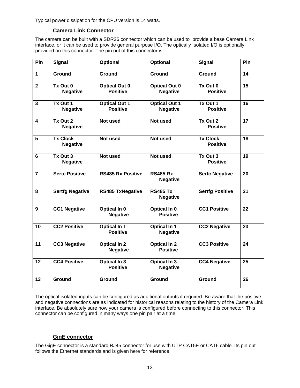Typical power dissipation for the CPU version is 14 watts.

### **Camera Link Connector**

The camera can be built with a SDR26 connector which can be used to provide a base Camera Link interface, or it can be used to provide general purpose I/O. The optically Isolated I/O is optionally provided on this connector. The pin out of this connector is:

| Pin                     | <b>Signal</b>                      | Optional                                | <b>Optional</b>                         | <b>Signal</b>                      | Pin             |
|-------------------------|------------------------------------|-----------------------------------------|-----------------------------------------|------------------------------------|-----------------|
| $\mathbf{1}$            | <b>Ground</b>                      | Ground                                  | Ground                                  | Ground                             | 14              |
| $\overline{2}$          | Tx Out 0<br><b>Negative</b>        | <b>Optical Out 0</b><br><b>Positive</b> | <b>Optical Out 0</b><br><b>Negative</b> | Tx Out 0<br><b>Positive</b>        | 15              |
| $\overline{\mathbf{3}}$ | Tx Out 1<br><b>Negative</b>        | <b>Optical Out 1</b><br><b>Positive</b> | <b>Optical Out 1</b><br><b>Negative</b> | Tx Out 1<br><b>Positive</b>        | 16              |
| 4                       | Tx Out 2<br><b>Negative</b>        | Not used                                | <b>Not used</b>                         | Tx Out 2<br><b>Positive</b>        | 17              |
| 5                       | <b>Tx Clock</b><br><b>Negative</b> | Not used                                | Not used                                | <b>Tx Clock</b><br><b>Positive</b> | 18              |
| $6\phantom{1}6$         | Tx Out 3<br><b>Negative</b>        | Not used                                | Not used                                | Tx Out 3<br><b>Positive</b>        | 19              |
| $\overline{7}$          | <b>Sertc Positive</b>              | <b>RS485 Rx Positive</b>                | <b>RS485 Rx</b><br><b>Negative</b>      | <b>Sertc Negative</b>              | 20              |
| 8                       | <b>Sertfg Negative</b>             | <b>RS485 TxNegative</b>                 | <b>RS485 Tx</b><br><b>Negative</b>      | <b>Sertfg Positive</b>             | 21              |
| 9                       | <b>CC1 Negative</b>                | Optical In 0<br><b>Negative</b>         | Optical In 0<br><b>Positive</b>         | <b>CC1 Positive</b>                | 22              |
| 10                      | <b>CC2 Positive</b>                | <b>Optical In 1</b><br><b>Positive</b>  | <b>Optical In 1</b><br><b>Negative</b>  | <b>CC2 Negative</b>                | 23              |
| 11                      | <b>CC3 Negative</b>                | <b>Optical In 2</b><br><b>Negative</b>  | <b>Optical In 2</b><br><b>Positive</b>  | <b>CC3 Positive</b>                | $\overline{24}$ |
| 12                      | <b>CC4 Positive</b>                | <b>Optical In 3</b><br><b>Positive</b>  | <b>Optical In 3</b><br><b>Negative</b>  | <b>CC4 Negative</b>                | 25              |
| 13                      | Ground                             | Ground                                  | Ground                                  | Ground                             | 26              |

The optical isolated inputs can be configured as additional outputs if required. Be aware that the positive and negative connections are as indicated for historical reasons relating to the history of the Camera Link interface. Be absolutely sure how your camera is configured before connecting to this connector. This connector can be configured in many ways one pin pair at a time.

### **GigE connector**

The GigE connector is a standard RJ45 connector for use with UTP CAT5E or CAT6 cable. Its pin out follows the Ethernet standards and is given here for reference.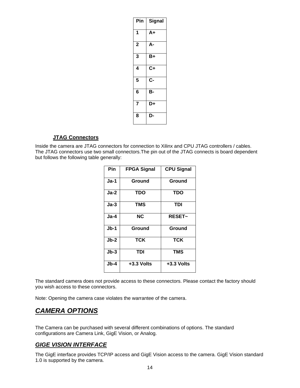| Pin            | Signal                         |
|----------------|--------------------------------|
| 1              | $A+$                           |
| $\overline{2}$ | А-                             |
| 3              | B+                             |
| 4              | $\overline{\text{c}_\text{+}}$ |
| 5              | C-                             |
| $6\phantom{a}$ | в-                             |
| $\overline{7}$ | D+                             |
| 8              | D-                             |

### **JTAG Connectors**

Inside the camera are JTAG connectors for connection to Xilinx and CPU JTAG controllers / cables. The JTAG connectors use two small connectors.The pin out of the JTAG connects is board dependent but follows the following table generally:

| Pin    | <b>FPGA Signal</b> | <b>CPU Signal</b> |
|--------|--------------------|-------------------|
| Ja-1   | Ground             | Ground            |
| Ja-2   | TDO                | TDO               |
| $Ja-3$ | TMS                | <b>TDI</b>        |
| $Ja-4$ | <b>NC</b>          | <b>RESET~</b>     |
| Jb-1   | Ground             | Ground            |
| $Jb-2$ | <b>TCK</b>         | <b>TCK</b>        |
| $Jb-3$ | TDI                | <b>TMS</b>        |
| $Jb-4$ | $+3.3$ Volts       | +3.3 Volts        |

The standard camera does not provide access to these connectors. Please contact the factory should you wish access to these connectors.

Note: Opening the camera case violates the warrantee of the camera.

# *CAMERA OPTIONS*

The Camera can be purchased with several different combinations of options. The standard configurations are Camera Link, GigE Vision, or Analog.

# *GIGE VISION INTERFACE*

The GigE interface provides TCP/IP access and GigE Vision access to the camera. GigE Vision standard 1.0 is supported by the camera.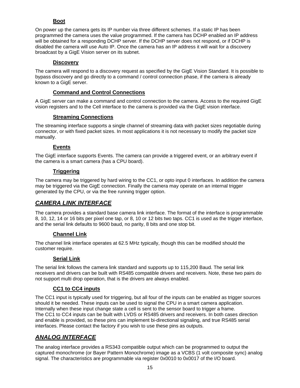### **Boot**

On power up the camera gets its IP number via three different schemes. If a static IP has been programmed the camera uses the value programmed. If the camera has DCHP enabled an IP address will be obtained for a responding DCHP server. If the DCHP server does not respond, or if DCHP is disabled the camera will use Auto IP. Once the camera has an IP address it will wait for a discovery broadcast by a GigE Vision server on its subnet.

### **Discovery**

The camera will respond to a discovery request as specified by the GigE Vision Standard. It is possible to bypass discovery and go directly to a command / control connection phase, if the camera is already known to a GigE server.

# **Command and Control Connections**

A GigE server can make a command and control connection to the camera. Access to the required GigE vision registers and to the Cell interface to the camera is provided via the GigE vision interface.

# **Streaming Connections**

The streaming interface supports a single channel of streaming data with packet sizes negotiable during connector, or with fixed packet sizes. In most applications it is not necessary to modify the packet size manually.

# **Events**

The GigE interface supports Events. The camera can provide a triggered event, or an arbitrary event if the camera is a smart camera (has a CPU board).

### **Triggering**

The camera may be triggered by hard wiring to the CC1, or opto input 0 interfaces. In addition the camera may be triggered via the GigE connection. Finally the camera may operate on an internal trigger generated by the CPU, or via the free running trigger option.

# *CAMERA LINK INTERFACE*

The camera provides a standard base camera link interface. The format of the interface is programmable 8, 10, 12, 14 or 16 bits per pixel one tap, or 8, 10 or 12 bits two taps. CC1 is used as the trigger interface, and the serial link defaults to 9600 baud, no parity, 8 bits and one stop bit.

### **Channel Link**

The channel link interface operates at 62.5 MHz typically, though this can be modified should the customer require.

### **Serial Link**

The serial link follows the camera link standard and supports up to 115,200 Baud. The serial link receivers and drivers can be built with RS485 compatible drivers and receivers. Note, these two pairs do not support multi drop operation, that is the drivers are always enabled.

# **CC1 to CC4 inputs**

The CC1 input is typically used for triggering, but all four of the inputs can be enabled as trigger sources should it be needed. These inputs can be used to signal the CPU in a smart camera application. Internally when these input change state a cell is sent to the sensor board to trigger a frame. The CC1 to CC4 inputs can be built with LVDS or RS485 drivers and receivers. In both cases direction and enable is provided, so these pins can implement bi-directional signaling, and true RS485 serial interfaces. Please contact the factory if you wish to use these pins as outputs.

# *ANALOG INTERFACE*

The analog interface provides a RS343 compatible output which can be programmed to output the captured monochrome (or Bayer Pattern Monochrome) image as a VCBS (1 volt composite sync) analog signal. The characteristics are programmable via register 0x0010 to 0x0017 of the I/O board.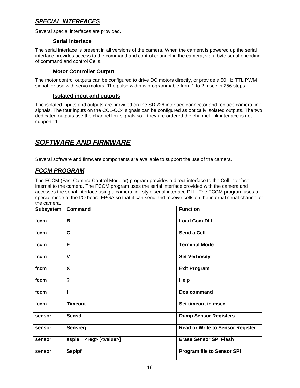# *SPECIAL INTERFACES*

Several special interfaces are provided.

### **Serial Interface**

The serial interface is present in all versions of the camera. When the camera is powered up the serial interface provides access to the command and control channel in the camera, via a byte serial encoding of command and control Cells.

### **Motor Controller Output**

The motor control outputs can be configured to drive DC motors directly, or provide a 50 Hz TTL PWM signal for use with servo motors. The pulse width is programmable from 1 to 2 msec in 256 steps.

### **Isolated input and outputs**

The isolated inputs and outputs are provided on the SDR26 interface connector and replace camera link signals. The four inputs on the CC1-CC4 signals can be configured as optically isolated outputs. The two dedicated outputs use the channel link signals so if they are ordered the channel link interface is not supported

# *SOFTWARE AND FIRMWARE*

Several software and firmware components are available to support the use of the camera.

# *FCCM PROGRAM*

The FCCM (Fast Camera Control Modular) program provides a direct interface to the Cell interface internal to the camera. The FCCM program uses the serial interface provided with the camera and accesses the serial interface using a camera link style serial interface DLL. The FCCM program uses a special mode of the I/O board FPGA so that it can send and receive cells on the internal serial channel of the camera.

| <b>Subsystem</b> | <b>Command</b>                      | <b>Function</b>                         |
|------------------|-------------------------------------|-----------------------------------------|
| fccm             | B                                   | <b>Load Com DLL</b>                     |
| fccm             | $\mathbf{C}$                        | <b>Send a Cell</b>                      |
| fccm             | F                                   | <b>Terminal Mode</b>                    |
| fccm             | $\mathbf{V}$                        | <b>Set Verbosity</b>                    |
| fccm             | $\mathsf{X}$                        | <b>Exit Program</b>                     |
| fccm             | $\overline{\mathbf{?}}$             | Help                                    |
| fccm             | Ţ                                   | Dos command                             |
| fccm             | <b>Timeout</b>                      | Set timeout in msec                     |
| sensor           | <b>Sensd</b>                        | <b>Dump Sensor Registers</b>            |
| sensor           | <b>Sensreg</b>                      | <b>Read or Write to Sensor Register</b> |
| sensor           | sspie <reg> [<value>]</value></reg> | <b>Erase Sensor SPI Flash</b>           |
| sensor           | <b>Sspipf</b>                       | <b>Program file to Sensor SPI</b>       |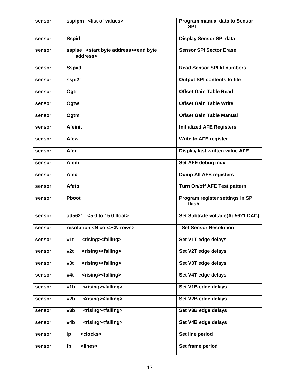| sensor | sspipm <list of="" values=""></list>                                       | Program manual data to Sensor<br><b>SPI</b> |
|--------|----------------------------------------------------------------------------|---------------------------------------------|
| sensor | <b>Sspid</b>                                                               | <b>Display Sensor SPI data</b>              |
| sensor | sspise <start address="" byte=""><end byte<br="">address&gt;</end></start> | <b>Sensor SPI Sector Erase</b>              |
| sensor | <b>Sspiid</b>                                                              | <b>Read Sensor SPI Id numbers</b>           |
| sensor | sspi2f                                                                     | <b>Output SPI contents to file</b>          |
| sensor | Ogtr                                                                       | <b>Offset Gain Table Read</b>               |
| sensor | Ogtw                                                                       | <b>Offset Gain Table Write</b>              |
| sensor | Ogtm                                                                       | <b>Offset Gain Table Manual</b>             |
| sensor | <b>Afeinit</b>                                                             | <b>Initialized AFE Registers</b>            |
| sensor | <b>Afew</b>                                                                | <b>Write to AFE register</b>                |
| sensor | Afer                                                                       | Display last written value AFE              |
| sensor | <b>Afem</b>                                                                | Set AFE debug mux                           |
| sensor | <b>Afed</b>                                                                | <b>Dump All AFE registers</b>               |
| sensor | <b>Afetp</b>                                                               | Turn On/off AFE Test pattern                |
| sensor | <b>Phoot</b>                                                               | Program register settings in SPI<br>flash   |
| sensor | ad5621 <5.0 to 15.0 float>                                                 | Set Subtrate voltage(Ad5621 DAC)            |
| sensor | resolution <n cols=""><n rows=""></n></n>                                  | <b>Set Sensor Resolution</b>                |
| sensor | <rising><falling><br/>v1t</falling></rising>                               | Set V1T edge delays                         |
| sensor | v2t<br><rising><falling></falling></rising>                                | Set V2T edge delays                         |
| sensor | v3t<br><rising><falling></falling></rising>                                | Set V3T edge delays                         |
| sensor | <rising><falling><br/>v4t</falling></rising>                               | Set V4T edge delays                         |
| sensor | v1b<br><rising><falling></falling></rising>                                | Set V1B edge delays                         |
| sensor | <rising><falling><br/>v2b</falling></rising>                               | Set V2B edge delays                         |
| sensor | <rising><falling><br/>v3b</falling></rising>                               | Set V3B edge delays                         |
| sensor | <rising><falling><br/>v4b</falling></rising>                               | Set V4B edge delays                         |
| sensor | <clocks><br/>Ip</clocks>                                                   | Set line period                             |
| sensor | <lines><br/>fp</lines>                                                     | Set frame period                            |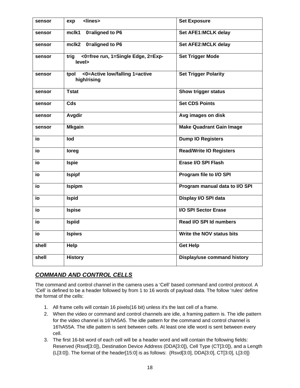| sensor | <lines><br/>exp</lines>                               | <b>Set Exposure</b>                |
|--------|-------------------------------------------------------|------------------------------------|
| sensor | 0=aligned to P6<br>mclk1                              | Set AFE1:MCLK delay                |
| sensor | 0=aligned to P6<br>mclk2                              | Set AFE2: MCLK delay               |
| sensor | <0=free run, 1=Single Edge, 2=Exp-<br>trig<br>level>  | <b>Set Trigger Mode</b>            |
| sensor | <0=Active low/falling 1=active<br>tpol<br>high/rising | <b>Set Trigger Polarity</b>        |
| sensor | <b>Tstat</b>                                          | <b>Show trigger status</b>         |
| sensor | Cds                                                   | <b>Set CDS Points</b>              |
| sensor | Avgdir                                                | Avg images on disk                 |
| sensor | <b>Mkgain</b>                                         | <b>Make Quadrant Gain Image</b>    |
| io     | lod                                                   | <b>Dump IO Registers</b>           |
| io     | loreg                                                 | <b>Read/Write IO Registers</b>     |
| io     | <b>Ispie</b>                                          | Erase I/O SPI Flash                |
| io     | <b>Ispipf</b>                                         | Program file to I/O SPI            |
| io     | <b>Ispipm</b>                                         | Program manual data to I/O SPI     |
| io     | <b>Ispid</b>                                          | Display I/O SPI data               |
| io     | <b>Ispise</b>                                         | I/O SPI Sector Erase               |
| io     | <b>Ispiid</b>                                         | Read I/O SPI Id numbers            |
| io     | <b>Ispiws</b>                                         | Write the NOV status bits          |
| shell  | Help                                                  | <b>Get Help</b>                    |
| shell  | <b>History</b>                                        | <b>Display/use command history</b> |

# *COMMAND AND CONTROL CELLS*

The command and control channel in the camera uses a 'Cell' based command and control protocol. A 'Cell' is defined to be a header followed by from 1 to 16 words of payload data. The follow 'rules' define the format of the cells:

- 1. All frame cells will contain 16 pixels(16 bit) unless it's the last cell of a frame.
- 2. When the video or command and control channels are idle, a framing pattern is. The idle pattern for the video channel is 16'hA5A5. The idle pattern for the command and control channel is 16'hA55A. The idle pattern is sent between cells. At least one idle word is sent between every cell.
- 3. The first 16-bit word of each cell will be a header word and will contain the following fields: Reserved (Rsvd[3:0]), Destination Device Address (DDA[3:0]), Cell Type (CT[3:0]), and a Length (L[3:0]). The format of the header[15:0] is as follows: {Rsvd[3:0], DDA[3:0], CT[3:0], L[3:0]}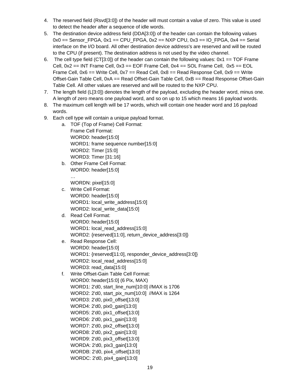- 4. The reserved field (Rsvd[3:0]) of the header will must contain a value of zero. This value is used to detect the header after a sequence of idle words.
- 5. The destination device address field (DDA[3:0]) of the header can contain the following values  $0x0 ==$  Sensor\_FPGA,  $0x1 ==$  CPU\_FPGA,  $0x2 ==$  NXP CPU,  $0x3 ==$  IO\_FPGA,  $0x4 ==$  Serial interface on the I/O board. All other destination device address's are reserved and will be routed to the CPU (if present). The destination address is not used by the video channel.
- 6. The cell type field (CT[3:0]) of the header can contain the following values:  $0x1 == TOF$  Frame Cell,  $0x2 == INT$  Frame Cell,  $0x3 == EOF$  Frame Cell,  $0x4 == SOL$  Frame Cell,  $0x5 == EOL$ Frame Cell,  $0x6 == Write Cell,  $0x7 == Read Cell,  $0x8 == Read$  Response Cell,  $0x9 == Write$$$ Offset-Gain Table Cell, 0xA == Read Offset-Gain Table Cell, 0xB == Read Response Offset-Gain Table Cell. All other values are reserved and will be routed to the NXP CPU.
- 7. The length field (L[3:0]) denotes the length of the payload, excluding the header word, minus one. A length of zero means one payload word, and so on up to 15 which means 16 payload words.
- 8. The maximum cell length will be 17 words, which will contain one header word and 16 payload words.
- 9. Each cell type will contain a unique payload format.
	- a. TOF (Top of Frame) Cell Format: Frame Cell Format: WORD0: header[15:0] WORD1: frame sequence number[15:0] WORD2: Timer [15:0] WORD3: Timer [31:16]
	- b. Other Frame Cell Format: WORD0: header[15:0]

WORDN: pixel[15:0]

…

- c. Write Cell Format: WORD0: header[15:0] WORD1: local\_write\_address[15:0] WORD2: local\_write\_data[15:0]
- d. Read Cell Format: WORD0: header[15:0] WORD1: local\_read\_address[15:0] WORD2: {reserved[11:0], return\_device\_address[3:0]}
- e. Read Response Cell: WORD0: header[15:0] WORD1: {reserved[11:0], responder\_device\_address[3:0]} WORD2: local\_read\_address[15:0] WORD3: read\_data[15:0]
- f. Write Offset-Gain Table Cell Format: WORD0: header[15:0] (6 Pix, MAX) WORD1: 2'd0, start\_line\_num[10:0] //MAX is 1706 WORD2: 2'd0, start\_pix\_num[10:0] //MAX is 1264 WORD3: 2'd0, pix0\_offset[13:0] WORD4: 2'd0, pix0\_gain[13:0] WORD5: 2'd0, pix1\_offset[13:0] WORD6: 2'd0, pix1\_gain[13:0] WORD7: 2'd0, pix2\_offset[13:0] WORD8: 2'd0, pix2\_gain[13:0] WORD9: 2'd0, pix3\_offset[13:0] WORDA: 2'd0, pix3\_gain[13:0] WORDB: 2'd0, pix4\_offset[13:0] WORDC: 2'd0, pix4\_gain[13:0]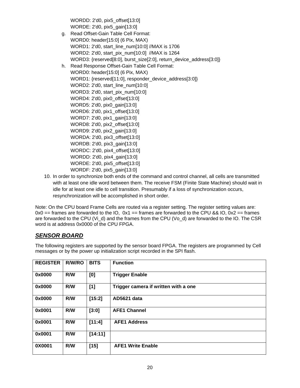WORDD: 2'd0, pix5\_offset[13:0] WORDE: 2'd0, pix5\_gain[13:0]

- g. Read Offset-Gain Table Cell Format: WORD0: header[15:0] (6 Pix, MAX) WORD1: 2'd0, start\_line\_num[10:0] //MAX is 1706 WORD2: 2'd0, start\_pix\_num[10:0] //MAX is 1264 WORD3: {reserved[8:0], burst\_size[2:0], return\_device\_address[3:0]} h. Read Response Offset-Gain Table Cell Format: WORD0: header[15:0] (6 Pix, MAX) WORD1: {reserved[11:0], responder\_device\_address[3:0]} WORD2: 2'd0, start\_line\_num[10:0] WORD3: 2'd0, start\_pix\_num[10:0] WORD4: 2'd0, pix0\_offset[13:0] WORD5: 2'd0, pix0\_gain[13:0]
	- WORD6: 2'd0, pix1\_offset[13:0] WORD7: 2'd0, pix1\_gain[13:0] WORD8: 2'd0, pix2\_offset[13:0] WORD9: 2'd0, pix2\_gain[13:0] WORDA: 2'd0, pix3\_offset[13:0] WORDB: 2'd0, pix3\_gain[13:0]
		- WORDC: 2'd0, pix4\_offset[13:0]
		- WORDD: 2'd0, pix4\_gain[13:0]
		- WORDE: 2'd0, pix5\_offset[13:0]
	- WORDF: 2'd0, pix5\_gain[13:0]
- 10. In order to synchronize both ends of the command and control channel, all cells are transmitted with at least one idle word between them. The receive FSM (Finite State Machine) should wait in idle for at least one idle to cell transition. Presumably if a loss of synchronization occurs, resynchronization will be accomplished in short order.

Note: On the CPU board Frame Cells are routed via a register setting. The register setting values are:  $0x0 ==$  frames are forwarded to the IO,  $0x1 ==$  frames are forwarded to the CPU && IO,  $0x2 ==$  frames are forwarded to the CPU (Vi\_d) and the frames from the CPU (Vo\_d) are forwarded to the IO. The CSR word is at address 0x0000 of the CPU FPGA.

# *SENSOR BOARD*

The following registers are supported by the sensor board FPGA. The registers are programmed by Cell messages or by the power up initialization script recorded in the SPI flash.

| <b>REGISTER</b> | R/W/RO | <b>BITS</b> | <b>Function</b>                      |
|-----------------|--------|-------------|--------------------------------------|
| 0x0000          | R/W    | [0]         | <b>Trigger Enable</b>                |
| 0x0000          | R/W    | [1]         | Trigger camera if written with a one |
| 0x0000          | R/W    | [15:2]      | AD5621 data                          |
| 0x0001          | R/W    | [3:0]       | <b>AFE1 Channel</b>                  |
| 0x0001          | R/W    | [11:4]      | <b>AFE1 Address</b>                  |
| 0x0001          | R/W    | [14:11]     |                                      |
| 0X0001          | R/W    | $[15]$      | <b>AFE1 Write Enable</b>             |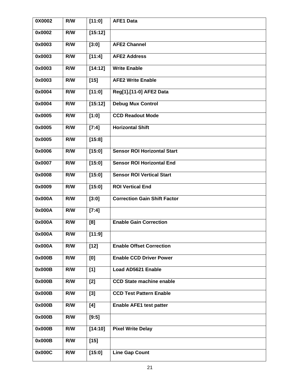| 0X0002 | R/W | [11:0]  | <b>AFE1 Data</b>                    |
|--------|-----|---------|-------------------------------------|
| 0x0002 | R/W | [15:12] |                                     |
| 0x0003 | R/W | [3:0]   | <b>AFE2 Channel</b>                 |
| 0x0003 | R/W | [11:4]  | <b>AFE2 Address</b>                 |
| 0x0003 | R/W | [14:12] | <b>Write Enable</b>                 |
| 0x0003 | R/W | $[15]$  | <b>AFE2 Write Enable</b>            |
| 0x0004 | R/W | [11:0]  | Reg[1].[11-0] AFE2 Data             |
| 0x0004 | R/W | [15:12] | <b>Debug Mux Control</b>            |
| 0x0005 | R/W | [1:0]   | <b>CCD Readout Mode</b>             |
| 0x0005 | R/W | [7:4]   | <b>Horizontal Shift</b>             |
| 0x0005 | R/W | [15:8]  |                                     |
| 0x0006 | R/W | [15:0]  | <b>Sensor ROI Horizontal Start</b>  |
| 0x0007 | R/W | [15:0]  | <b>Sensor ROI Horizontal End</b>    |
| 0x0008 | R/W | [15:0]  | <b>Sensor ROI Vertical Start</b>    |
| 0x0009 | R/W | [15:0]  | <b>ROI Vertical End</b>             |
| 0x000A | R/W | [3:0]   | <b>Correction Gain Shift Factor</b> |
| 0x000A | R/W | [7:4]   |                                     |
| 0x000A | R/W | [8]     | <b>Enable Gain Correction</b>       |
| 0x000A | R/W | [11:9]  |                                     |
| 0x000A | R/W | $[12]$  | <b>Enable Offset Correction</b>     |
| 0x000B | R/W | [0]     | <b>Enable CCD Driver Power</b>      |
| 0x000B | R/W | [1]     | Load AD5621 Enable                  |
| 0x000B | R/W | $[2]$   | <b>CCD State machine enable</b>     |
| 0x000B | R/W | $[3]$   | <b>CCD Test Pattern Enable</b>      |
| 0x000B | R/W | [4]     | <b>Enable AFE1 test patter</b>      |
| 0x000B | R/W | [9:5]   |                                     |
| 0x000B | R/W | [14:10] | <b>Pixel Write Delay</b>            |
| 0x000B | R/W | $[15]$  |                                     |
| 0x000C | R/W | [15:0]  | <b>Line Gap Count</b>               |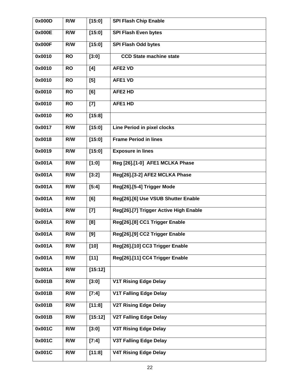| 0x000D | R/W       | [15:0]   | <b>SPI Flash Chip Enable</b>           |
|--------|-----------|----------|----------------------------------------|
| 0x000E | R/W       | [15:0]   | <b>SPI Flash Even bytes</b>            |
| 0x000F | R/W       | $[15:0]$ | <b>SPI Flash Odd bytes</b>             |
| 0x0010 | <b>RO</b> | [3:0]    | <b>CCD State machine state</b>         |
| 0x0010 | <b>RO</b> | [4]      | <b>AFE2 VD</b>                         |
| 0x0010 | <b>RO</b> | [5]      | <b>AFE1 VD</b>                         |
| 0x0010 | <b>RO</b> | [6]      | <b>AFE2 HD</b>                         |
| 0x0010 | <b>RO</b> | $[7]$    | AFE1 HD                                |
| 0x0010 | <b>RO</b> | [15:8]   |                                        |
| 0x0017 | R/W       | [15:0]   | <b>Line Period in pixel clocks</b>     |
| 0x0018 | R/W       | [15:0]   | <b>Frame Period in lines</b>           |
| 0x0019 | R/W       | [15:0]   | <b>Exposure in lines</b>               |
| 0x001A | R/W       | [1:0]    | Reg [26].[1-0] AFE1 MCLKA Phase        |
| 0x001A | R/W       | [3:2]    | Reg[26].[3-2] AFE2 MCLKA Phase         |
| 0x001A | R/W       | [5:4]    | Reg[26].[5-4] Trigger Mode             |
| 0x001A | R/W       | [6]      | Reg[26].[6] Use VSUB Shutter Enable    |
| 0x001A | R/W       | $[7]$    | Reg[26].[7] Trigger Active High Enable |
| 0x001A | R/W       | [8]      | Reg[26].[8] CC1 Trigger Enable         |
| 0x001A | R/W       | $[9]$    | Reg[26].[9] CC2 Trigger Enable         |
| 0x001A | R/W       | $[10]$   | Reg[26].[10] CC3 Trigger Enable        |
| 0x001A | R/W       | $[11]$   | Reg[26].[11] CC4 Trigger Enable        |
| 0x001A | R/W       | [15:12]  |                                        |
| 0x001B | R/W       | [3:0]    | <b>V1T Rising Edge Delay</b>           |
| 0x001B | R/W       | [7:4]    | <b>V1T Falling Edge Delay</b>          |
| 0x001B | R/W       | [11:8]   | <b>V2T Rising Edge Delay</b>           |
| 0x001B | R/W       | [15:12]  | <b>V2T Falling Edge Delay</b>          |
| 0x001C | R/W       | [3:0]    | <b>V3T Rising Edge Delay</b>           |
| 0x001C | R/W       | [7:4]    | <b>V3T Falling Edge Delay</b>          |
| 0x001C | R/W       | [11:8]   | <b>V4T Rising Edge Delay</b>           |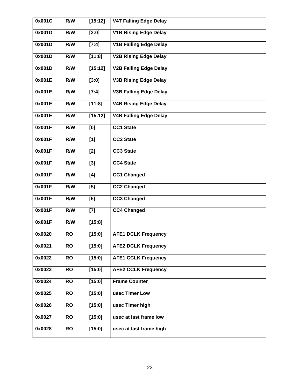| 0x001C | R/W       | [15:12] | <b>V4T Falling Edge Delay</b> |
|--------|-----------|---------|-------------------------------|
| 0x001D | R/W       | [3:0]   | <b>V1B Rising Edge Delay</b>  |
| 0x001D | R/W       | [7:4]   | <b>V1B Falling Edge Delay</b> |
| 0x001D | R/W       | [11:8]  | <b>V2B Rising Edge Delay</b>  |
| 0x001D | R/W       | [15:12] | <b>V2B Falling Edge Delay</b> |
| 0x001E | R/W       | [3:0]   | <b>V3B Rising Edge Delay</b>  |
| 0x001E | R/W       | [7:4]   | <b>V3B Falling Edge Delay</b> |
| 0x001E | R/W       | [11:8]  | <b>V4B Rising Edge Delay</b>  |
| 0x001E | R/W       | [15:12] | <b>V4B Falling Edge Delay</b> |
| 0x001F | R/W       | [0]     | <b>CC1 State</b>              |
| 0x001F | R/W       | [1]     | <b>CC2 State</b>              |
| 0x001F | R/W       | $[2]$   | <b>CC3 State</b>              |
| 0x001F | R/W       | $[3]$   | <b>CC4 State</b>              |
| 0x001F | R/W       | [4]     | <b>CC1 Changed</b>            |
| 0x001F | R/W       | [5]     | <b>CC2 Changed</b>            |
| 0x001F | R/W       | [6]     | <b>CC3 Changed</b>            |
| 0x001F | R/W       | $[7]$   | <b>CC4 Changed</b>            |
| 0x001F | R/W       | [15:8]  |                               |
| 0x0020 | <b>RO</b> | [15:0]  | <b>AFE1 DCLK Frequency</b>    |
| 0x0021 | <b>RO</b> | [15:0]  | <b>AFE2 DCLK Frequency</b>    |
| 0x0022 | <b>RO</b> | [15:0]  | <b>AFE1 CCLK Frequency</b>    |
| 0x0023 | <b>RO</b> | [15:0]  | <b>AFE2 CCLK Frequency</b>    |
| 0x0024 | <b>RO</b> | [15:0]  | <b>Frame Counter</b>          |
| 0x0025 | <b>RO</b> | [15:0]  | usec Timer Low                |
| 0x0026 | <b>RO</b> | [15:0]  | usec Timer high               |
| 0x0027 | <b>RO</b> | [15:0]  | usec at last frame low        |
| 0x0028 | <b>RO</b> | [15:0]  | usec at last frame high       |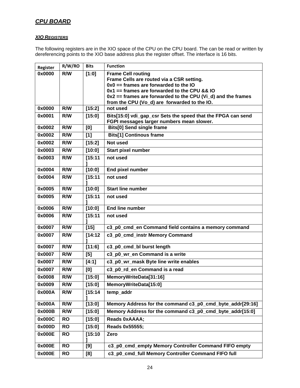# *CPU BOARD*

### *XIO REGISTERS*

The following registers are in the XIO space of the CPU on the CPU board. The can be read or written by dereferencing points to the XIO base address plus the register offset. The interface is 16 bits.

| Register | R/W/RO    | <b>Bits</b> | <b>Function</b>                                                                                           |
|----------|-----------|-------------|-----------------------------------------------------------------------------------------------------------|
| 0x0000   | R/W       | [1:0]       | <b>Frame Cell routing</b>                                                                                 |
|          |           |             | Frame Cells are routed via a CSR setting.                                                                 |
|          |           |             | $0x0 ==$ frames are forwarded to the IO                                                                   |
|          |           |             | $0x1 ==$ frames are forwarded to the CPU && IO                                                            |
|          |           |             | $0x2 ==$ frames are forwarded to the CPU (Vi_d) and the frames                                            |
| 0x0000   | R/W       |             | from the CPU (Vo_d) are forwarded to the IO.<br>not used                                                  |
|          |           | [15:2]      |                                                                                                           |
| 0x0001   | R/W       | [15:0]      | Bits[15:0] vdi_gap_csr Sets the speed that the FPGA can send<br>FGPI messages larger numbers mean slower. |
| 0x0002   | R/W       | [0]         | <b>Bits[0] Send single frame</b>                                                                          |
| 0x0002   | R/W       | [1]         | <b>Bits[1] Continous frame</b>                                                                            |
| 0x0002   | R/W       | [15:2]      | <b>Not used</b>                                                                                           |
| 0x0003   | R/W       | [10:0]      | Start pixel number                                                                                        |
| 0x0003   | R/W       | [15:11]     | not used                                                                                                  |
| 0x0004   | R/W       | [10:0]      | <b>End pixel number</b>                                                                                   |
| 0x0004   | R/W       | [15:11]     | not used                                                                                                  |
| 0x0005   | R/W       | [10:0]      | <b>Start line number</b>                                                                                  |
| 0x0005   | R/W       | [15:11]     | not used                                                                                                  |
| 0x0006   | R/W       | [10:0]      | <b>End line number</b>                                                                                    |
| 0x0006   | R/W       | [15:11]     | not used                                                                                                  |
| 0x0007   | R/W       | $[15]$      | c3_p0_cmd_en Command field contains a memory command                                                      |
| 0x0007   | R/W       | [14:12]     | c3_p0_cmd_instr Memory Command                                                                            |
| 0x0007   | R/W       | [11:6]      | c3_p0_cmd_bl burst length                                                                                 |
| 0x0007   | R/W       | [5]         | c3_p0_wr_en Command is a write                                                                            |
| 0x0007   | R/W       | [4:1]       | c3_p0_wr_mask Byte line write enables                                                                     |
| 0x0007   | R/W       | [0]         | c3_p0_rd_en Command is a read                                                                             |
| 0x0008   | R/W       | [15:0]      | MemoryWriteData[31:16]                                                                                    |
| 0x0009   | R/W       | [15:0]      | MemoryWriteData[15:0]                                                                                     |
| 0x000A   | R/W       | [15:14]     | temp_addr                                                                                                 |
| 0x000A   | R/W       | [13:0]      | Memory Address for the command c3_p0_cmd_byte_addr[29:16]                                                 |
| 0x000B   | R/W       | [15:0]      | Memory Address for the command c3_p0_cmd_byte_addr[15:0]                                                  |
| 0x000C   | <b>RO</b> | [15:0]      | Reads 0xAAAA;                                                                                             |
| 0x000D   | <b>RO</b> | [15:0]      | Reads 0x55555;                                                                                            |
| 0x000E   | <b>RO</b> | [15:10]     | Zero                                                                                                      |
|          |           |             |                                                                                                           |
| 0x000E   | <b>RO</b> | [9]         | c3_p0_cmd_empty Memory Controller Command FIFO empty                                                      |
| 0x000E   | <b>RO</b> | [8]         | c3_p0_cmd_full Memory Controller Command FIFO full                                                        |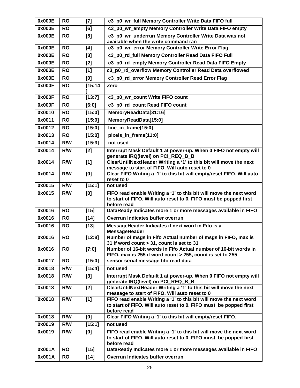| 0x000E           | <b>RO</b>              | $[7]$            | c3 p0 wr full Memory Controller Write Data FIFO full                                                                                                   |
|------------------|------------------------|------------------|--------------------------------------------------------------------------------------------------------------------------------------------------------|
| 0x000E           | <b>RO</b>              | [6]              | c3_p0_wr_empty Memory Controller Write Data FIFO empty                                                                                                 |
| 0x000E           | <b>RO</b>              | [5]              | c3 p0 wr underrun Memory Controller Write Data was not<br>available when the write command ran                                                         |
| 0x000E           | <b>RO</b>              | [4]              | c3 p0 wr error Memory Controller Write Error Flag                                                                                                      |
| 0x000E           | <b>RO</b>              | $[3]$            | c3_p0_rd_full Memory Controller Read Data FIFO Full                                                                                                    |
| 0x000E           | <b>RO</b>              | [2]              | c3_p0_rd_empty Memory Controller Read Data FIFO Empty                                                                                                  |
| 0x000E           | <b>RO</b>              | [1]              | c3_p0_rd_overflow Memory Controller Read Data overflowed                                                                                               |
| 0x000E           | <b>RO</b>              | [0]              | c3_p0_rd_error Memory Controller Read Error Flag                                                                                                       |
| 0x000F           | <b>RO</b>              | [15:14]          | Zero                                                                                                                                                   |
| 0x000F           | <b>RO</b>              | [13:7]           | c3_p0_wr_count Write FIFO count                                                                                                                        |
| 0x000F           | <b>RO</b>              | [6:0]            | c3_p0_rd_count Read FIFO count                                                                                                                         |
| 0x0010           | <b>RO</b>              | [15:0]           | MemoryReadData[31:16]                                                                                                                                  |
| 0x0011           | <b>RO</b>              | [15:0]           | MemoryReadData[15:0]                                                                                                                                   |
| 0x0012           | <b>RO</b>              | [15:0]           | line in frame[15:0]                                                                                                                                    |
| 0x0013           | <b>RO</b>              | [15:0]           | pixels in frame[11:0]                                                                                                                                  |
| 0x0014           | R/W                    | [15:3]           | not used                                                                                                                                               |
| 0x0014           | R/W                    | [2]              | Interrupt Mask Default 1 at power-up. When 0 FIFO not empty will<br>generate IRQ(level) on PCI_REQ_B_B                                                 |
| 0x0014           | R/W                    | [1]              | ClearUntilNextHeader Writing a '1' to this bit will move the next<br>message to start of FIFO. Will auto reset to 0                                    |
| 0x0014           | R/W                    | [0]              | Clear FIFO Writing a '1' to this bit will empty/reset FIFO. Will auto<br>reset to 0                                                                    |
| 0x0015           | R/W                    | [15:1]           | not used                                                                                                                                               |
|                  | R/W                    |                  | FIFO read enable Writing a '1' to this bit will move the next word                                                                                     |
| 0x0015           |                        | [0]              | to start of FIFO. Will auto reset to 0. FIFO must be popped first                                                                                      |
| 0x0016           | <b>RO</b>              | $[15]$           | before read<br>DataReady Indicates more 1 or more messages available in FIFO                                                                           |
| 0x0016           | <b>RO</b>              | $[14]$           | <b>Overrun Indicates buffer overrun</b>                                                                                                                |
| 0x0016           | <b>RO</b>              | $[13]$           | MessageHeader Indicates if next word in Fifo is a<br>MessageHeader                                                                                     |
| 0x0016           | <b>RO</b>              | [12:8]           | Number of msgs in Fifo Actual number of msgs in FIFO, max is<br>31 if word count > 31, count is set to 31                                              |
| 0x0016           | <b>RO</b>              | [7:0]            | Number of 16-bit words in Fifo Actual number of 16-bit words in<br>FIFO, max is 255 if word count > 255, count is set to 255                           |
| 0x0017           | <b>RO</b>              | [15:0]           | sensor serial message fifo read data                                                                                                                   |
| 0x0018           | R/W                    | [15:4]           | not used                                                                                                                                               |
| 0x0018           | R/W                    | $[3]$            | Interrupt Mask Default 1 at power-up. When 0 FIFO not empty will<br>generate IRQ(level) on PCI_REQ_B_B                                                 |
| 0x0018           | R/W                    | [2]              | ClearUntilNextHeader Writing a '1' to this bit will move the next<br>message to start of FIFO. Will auto reset to 0                                    |
| 0x0018           | R/W                    | [1]              | FIFO read enable Writing a '1' to this bit will move the next word<br>to start of FIFO. Will auto reset to 0. FIFO must be popped first<br>before read |
| 0x0018           | R/W                    | [0]              | Clear FIFO Writing a '1' to this bit will empty/reset FIFO.                                                                                            |
| 0x0019           | R/W                    | [15:1]           | not used                                                                                                                                               |
| 0x0019           | R/W                    | [0]              | FIFO read enable Writing a '1' to this bit will move the next word<br>to start of FIFO. Will auto reset to 0. FIFO must be popped first<br>before read |
| 0x001A<br>0x001A | <b>RO</b><br><b>RO</b> | $[15]$<br>$[14]$ | DataReady Indicates more 1 or more messages available in FIFO<br>Overrun Indicates buffer overrun                                                      |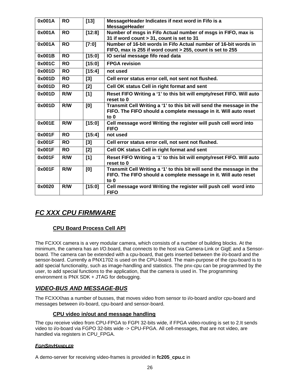| 0x001A | <b>RO</b> | $[13]$ | MessageHeader Indicates if next word in Fifo is a<br><b>MessageHeader</b>                                                                         |
|--------|-----------|--------|---------------------------------------------------------------------------------------------------------------------------------------------------|
| 0x001A | <b>RO</b> | [12:8] | Number of msgs in Fifo Actual number of msgs in FIFO, max is<br>31 if word count > 31, count is set to 31                                         |
| 0x001A | <b>RO</b> | [7:0]  | Number of 16-bit words in Fifo Actual number of 16-bit words in<br>FIFO, max is 255 if word count > 255, count is set to 255                      |
| 0x001B | <b>RO</b> | [15:0] | IO serial message fifo read data                                                                                                                  |
| 0x001C | <b>RO</b> | [15:0] | <b>FPGA revision</b>                                                                                                                              |
| 0x001D | <b>RO</b> | [15:4] | not used                                                                                                                                          |
| 0x001D | <b>RO</b> | [3]    | Cell error status error cell, not sent not flushed.                                                                                               |
| 0x001D | <b>RO</b> | $[2]$  | Cell OK status Cell in right format and sent                                                                                                      |
| 0x001D | R/W       | [1]    | Reset FIFO Writing a '1' to this bit will empty/reset FIFO. Will auto<br>reset to 0                                                               |
| 0x001D | R/W       | [0]    | Transmit Cell Writing a '1' to this bit will send the message in the<br>FIFO. The FIFO should a complete message in it. Will auto reset<br>to $0$ |
| 0x001E | R/W       | [15:0] | Cell message word Writing the register will push cell word into<br><b>FIFO</b>                                                                    |
| 0x001F | <b>RO</b> | [15:4] | not used                                                                                                                                          |
| 0x001F | <b>RO</b> | [3]    | Cell error status error cell, not sent not flushed.                                                                                               |
| 0x001F | <b>RO</b> | $[2]$  | Cell OK status Cell in right format and sent                                                                                                      |
| 0x001F | R/W       | [1]    | Reset FIFO Writing a '1' to this bit will empty/reset FIFO. Will auto<br>reset to 0                                                               |
| 0x001F | R/W       | [0]    | Transmit Cell Writing a '1' to this bit will send the message in the<br>FIFO. The FIFO should a complete message in it. Will auto reset<br>to 0   |
| 0x0020 | R/W       | [15:0] | Cell message word Writing the register will push cell word into<br><b>FIFO</b>                                                                    |

# *FC XXX CPU FIRMWARE*

# **CPU Board Process Cell API**

The FCXXX camera is a very modular camera, which consists of a number of building blocks. At the minimum, the camera has an I/O.board, that connects to the host via Camera-Link or GigE and a Sensorboard. The camera can be extended with a cpu-board, that gets inserted between the i/o-board and the sensor-board. Currently a PNX1702 is used on the CPU-board. The main-purpose of the cpu-board is to add special functionality, such as image-handling and statistics. The pnx-cpu can be programmed by the user, to add special functions to the application, that the camera is used in. The programming environment is PNX SDK + JTAG for debugging.

# *VIDEO-BUS AND MESSAGE-BUS*

The FCXXXhas a number of busses, that moves video from sensor to i/o-board and/or cpu-board and messages between i/o-board, cpu-board and sensor-board.

### **CPU video in/out and message handling**

The cpu receive video from CPU-FPGA to FGPI 32-bits wide, if FPGA video-routing is set to 2.It sends video to i/o-board via FGPO 32-bits wide -> CPU-FPGA. All cell-messages, that are not video, are handled via registers in CPU\_FPGA.

### *FGPISRVHANDLER*

A demo-server for receiving video-frames is provided in **fc205\_cpu.c** in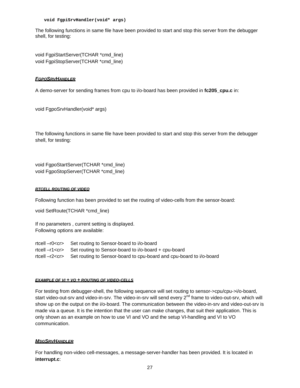**void FgpiSrvHandler(void\* args)** 

The following functions in same file have been provided to start and stop this server from the debugger shell, for testing:

void FgpiStartServer(TCHAR \*cmd\_line) void FgpiStopServer(TCHAR \*cmd\_line)

#### *FGPOSRVHANDLER*

A demo-server for sending frames from cpu to i/o-board has been provided in **fc205\_cpu.c** in:

void FgpoSrvHandler(void\* args)

The following functions in same file have been provided to start and stop this server from the debugger shell, for testing:

void FgpoStartServer(TCHAR \*cmd\_line) void FgpoStopServer(TCHAR \*cmd\_line)

#### *RTCELL ROUTING OF VIDEO*

Following function has been provided to set the routing of video-cells from the sensor-board:

void SetRoute(TCHAR \*cmd\_line)

If no parameters , current setting is displayed. Following options are available:

rtcell –r0<cr> Set routing to Sensor-board to i/o-board rtcell –r1<cr> Set routing to Sensor-board to i/o-board + cpu-board rtcell –r2<cr> Set routing to Sensor-board to cpu-board and cpu-board to i/o-board

#### *EXAMPLE OF VI + VO + ROUTING OF VIDEO-CELLS*

For testing from debugger-shell, the following sequence will set routing to sensor->cpu/cpu->i/o-board, start video-out-srv and video-in-srv. The video-in-srv will send every  $2^{nd}$  frame to video-out-srv, which will show up on the output on the i/o-board. The communication between the video-in-srv and video-out-srv is made via a queue. It is the intention that the user can make changes, that suit their application. This is only shown as an example on how to use VI and VO and the setup VI-handling and VI to VO communication.

### *MSGSRVHANDLER*

For handling non-video cell-messages, a message-server-handler has been provided. It is located in **interrupt.c**: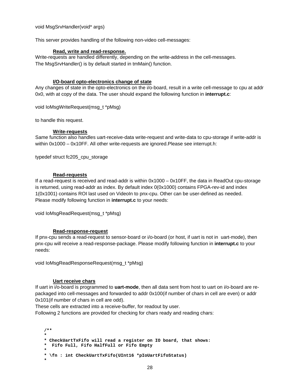void MsgSrvHandler(void\* args)

This server provides handling of the following non-video cell-messages:

#### **Read, write and read-response.**

Write-requests are handled differently, depending on the write-address in the cell-messages. The MsgSrvHandler() is by default started in tmMain() function.

### **I/O-board opto-electronics change of state**

Any changes of state in the opto-electronics on the i/o-board, result in a write cell-message to cpu at addr 0x0, with at copy of the data. The user should expand the following function in **interrupt.c**:

void IoMsgWriteRequest(msg\_t \*pMsg)

to handle this request.

### **Write-requests**

Same function also handles uart-receive-data write-request and write-data to cpu-storage if write-addr is within 0x1000 – 0x10FF. All other write-requests are ignored.Please see interrupt.h:

typedef struct fc205\_cpu\_storage

### **Read-requests**

If a read-request is received and read-addr is within 0x1000 – 0x10FF, the data in ReadOut cpu-storage is returned, using read-addr as index. By default index 0(0x1000) contains FPGA-rev-id and index 1(0x1001) contains ROI last used on VideoIn to pnx-cpu. Other can be user-defined as needed. Please modify following function in **interrupt.c** to your needs:

void IoMsgReadRequest(msg\_t \*pMsg)

### **Read-response-request**

If pnx-cpu sends a read-request to sensor-board or i/o-board (or host, if uart is not in uart-mode), then pnx-cpu will receive a read-response-package. Please modify following function in **interrupt.c** to your needs:

void IoMsgReadResponseRequest(msg\_t \*pMsg)

#### **Uart receive chars**

If uart in i/o-board is programmed to **uart-mode**, then all data sent from host to uart on i/o-board are repackaged into cell-messages and forwarded to addr 0x100(if number of chars in cell are even) or addr 0x101(if number of chars in cell are odd).

These cells are extracted into a receive-buffer, for readout by user.

Following 2 functions are provided for checking for chars ready and reading chars:

```
/** 
* 
* CheckUartTxFifo will read a register on IO board, that shows: 
* Fifo Full, Fifo HalfFull or Fifo Empty 
* 
* \fn : int CheckUartTxFifo(UInt16 *pIoUartFifoStatus) 
*
```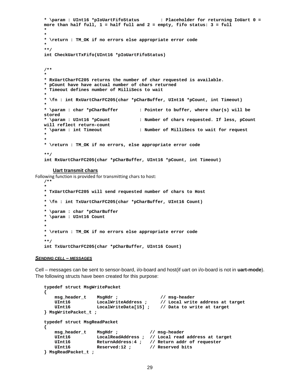```
* \param : UInt16 *pIoUartFifoStatus : Placeholder for returning IoUart 0 = 
more than half full, 1 = half full and 2 = empty, fifo status: 3 = full 
* 
* 
* \return : TM_OK if no errors else appropriate error code 
* 
**/ 
int CheckUartTxFifo(UInt16 *pIoUartFifoStatus) 
/** 
* 
* RxUartCharFC205 returns the number of char requested is available. 
* pCount have have actual number of chars returned 
* Timeout defines number of MilliSecs to wait 
* 
* \fn : int RxUartCharFC205(char *pCharBuffer, UInt16 *pCount, int Timeout) 
* 
* \param : char *pCharBuffer : Pointer to buffer, where char(s) will be 
stored 
* \param : UInt16 *pCount : Number of chars requested. If less, pCount 
will reflect return-count 
* \param : int Timeout : Number of MilliSecs to wait for request 
* 
* 
* \return : TM_OK if no errors, else appropriate error code 
**/ 
int RxUartCharFC205(char *pCharBuffer, UInt16 *pCount, int Timeout)
```
#### **Uart transmit chars**

Following function is provided for transmitting chars to host:

```
/** 
* 
* TxUartCharFC205 will send requested number of chars to Host 
* 
* \fn : int TxUartCharFC205(char *pCharBuffer, UInt16 Count) 
* 
* \param : char *pCharBuffer 
* \param : UInt16 Count 
* 
* 
* \return : TM_OK if no errors else appropriate error code 
* 
**/ 
int TxUartCharFC205(char *pCharBuffer, UInt16 Count)
```
#### *SENDING CELL – MESSAGES*

Cell – messages can be sent to sensor-board, i/o-board and host(if uart on i/o-board is not in **uart-mode**). The following structs have been created for this purpose:

```
typedef struct MsgWritePacket 
{ 
 msg_header_t MsgHdr ; // msg-header 
 UInt16 LocalWriteAddress ; // Local write address at target 
 UInt16 LocalWriteData[15] ; // Data to write at target 
} MsgWritePacket_t ; 
typedef struct MsgReadPacket 
{ 
    msg_header_t MsgHdr ; // msg-header 
    UInt16 LocalReadAddress ; // Local read address at target 
   UInt16 ReturnAddress:4 ; // Return addr of requester<br>UInt16 Reserved:12 ; // Reserved bits
                                     UInt16 Reserved:12 ; // Reserved bits 
} MsgReadPacket_t ;
```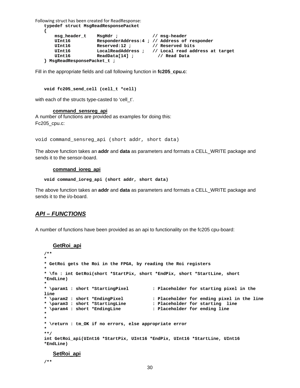```
Following struct has been created for ReadResponse:
   typedef struct MsgReadResponsePacket 
   { 
     msg_header_t MsgHdr ; // msg-header 
     UInt16 ResponderAddress:4 ; // Address of responder 
        UInt16 Reserved:12 ; // Reserved bits
        UInt16              LocalReadAddress    ;      //  Local  read  address  at  target<br>UInt16                 ReadData[14]   ;                  //  Read  Data
        UInt16 ReadData[14] ;
   } MsgReadResponsePacket_t ;
```
Fill in the appropriate fields and call following function in **fc205\_cpu.c**:

```
void fc205_send_cell (cell_t *cell)
```
with each of the structs type-casted to 'cell t'.

**command\_sensreg\_api**

A number of functions are provided as examples for doing this: Fc205\_cpu.c:

void command\_sensreg\_api (short addr, short data)

The above function takes an **addr** and **data** as parameters and formats a CELL\_WRITE package and sends it to the sensor-board.

#### **command\_ioreg\_api**

**void command\_ioreg\_api (short addr, short data)** 

The above function takes an **addr** and **data** as parameters and formats a CELL\_WRITE package and sends it to the i/o-board.

### *API – FUNCTIONS*

A number of functions have been provided as an api to functionality on the fc205 cpu-board:

#### **GetRoi\_api**

```
/** 
* 
* GetRoi gets the Roi in the FPGA, by reading the Roi registers 
* 
* \fn : int GetRoi(short *StartPix, short *EndPix, short *StartLine, short 
*EndLine) 
* 
* \param1 : short *StartingPixel : Placeholder for starting pixel in the 
line<br>* \param2 : short *EndingPixel
* \param2 : short *EndingPixel : Placeholder for ending pixel in the line 
                                       : Placeholder for starting line
* \param4 : short *EndingLine : Placeholder for ending line 
* 
* 
* \return : tm_OK if no errors, else appropriate error 
* 
**/ 
int GetRoi_api(UInt16 *StartPix, UInt16 *EndPix, UInt16 *StartLine, UInt16
*EndLine)
```
#### **SetRoi\_api**

**/\*\***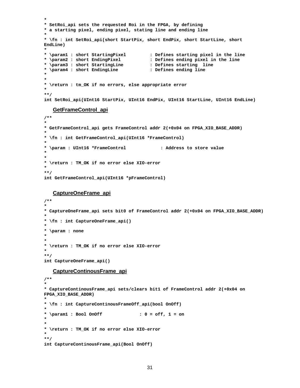```
* 
* SetRoi_api sets the requested Roi in the FPGA, by defining 
* a starting pixel, ending pixel, stating line and ending line 
* 
* \fn : int SetRoi_api(short StartPix, short EndPix, short StartLine, short 
EndLine) 
* 
* \param1 : short StartingPixel : Defines starting pixel in the line 
                                          : Defines ending pixel in the line<br>: Defines starting line
* \param3 : short StartingLine : Defines starting line 
* \param4 : short EndingLine : Defines ending line 
* 
* 
* \return : tm_OK if no errors, else appropriate error 
* 
**/ 
int SetRoi_api(UInt16 StartPix, UInt16 EndPix, UInt16 StartLine, UInt16 EndLine)
```
#### **GetFrameControl\_api**

```
/** 
* 
* GetFrameControl_api gets FrameControl addr 2(+0x04 on FPGA_XIO_BASE_ADDR) 
* 
* \fn : int GetFrameControl_api(UInt16 *FrameControl) 
* 
* \param : UInt16 *FrameControl : Address to store value 
* 
* 
* \return : TM_OK if no error else XIO-error 
* 
**/ 
int GetFrameControl_api(UInt16 *pFrameControl)
```
**CaptureOneFrame\_api**

```
/** 
* 
* CaptureOneFrame_api sets bit0 of FrameControl addr 2(+0x04 on FPGA_XIO_BASE_ADDR) 
* 
* \fn : int CaptureOneFrame_api() 
* 
* \param : none 
* 
* 
* \return : TM_OK if no error else XIO-error 
* 
**/ 
int CaptureOneFrame_api()
```
#### **CaptureContinousFrame\_api**

```
/** 
* 
* CaptureContinousFrame_api sets/clears bit1 of FrameControl addr 2(+0x04 on 
FPGA_XIO_BASE_ADDR) 
* 
* \fn : int CaptureContinousFrameOff_api(bool OnOff) 
* 
* \param1 : Bool OnOff : 0 = off, 1 = on 
* 
* 
* \return : TM_OK if no error else XIO-error 
* 
**/ 
int CaptureContinousFrame_api(Bool OnOff)
```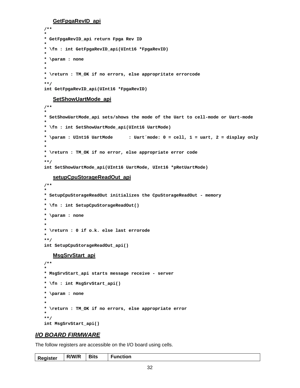**GetFpgaRevID\_api**

```
/** 
* 
* GetFpgaRevID_api return Fpga Rev ID 
* 
* \fn : int GetFpgaRevID_api(UInt16 *FpgaRevID) 
* 
* \param : none 
* 
* 
* \return : TM_OK if no errors, else appropritate errorcode 
* 
**/ 
int GetFpgaRevID_api(UInt16 *FpgaRevID)
```
#### **SetShowUartMode\_api**

```
/** 
* 
* SetShowUartMode_api sets/shows the mode of the Uart to cell-mode or Uart-mode 
* 
* \fn : int SetShowUartMode_api(UInt16 UartMode) 
* 
* \param : UInt16 UartMode : Uart´mode: 0 = cell, 1 = uart, 2 = display only 
* 
* 
* \return : TM_OK if no error, else appropriate error code 
* 
**/ 
int SetShowUartMode_api(UInt16 UartMode, UInt16 *pRetUartMode)
```
#### **setupCpuStorageReadOut\_api**

```
/** 
* 
* SetupCpuStorageReadOut initializes the CpuStorageReadOut - memory 
* 
* \fn : int SetupCpuStorageReadOut() 
* 
* \param : none 
* 
* 
* \return : 0 if o.k. else last errorode 
* 
**/ 
int SetupCpuStorageReadOut_api()
```
#### **MsgSrvStart\_api**

```
/** 
* 
* MsgSrvStart_api starts message receive - server 
* 
* \fn : int MsgSrvStart_api() 
* 
* \param : none 
* 
* 
* \return : TM_OK if no errors, else appropriate error 
* 
**/ 
int MsgSrvStart_api()
```
### *I/O BOARD FIRMWARE*

The follow registers are accessible on the I/O board using cells.

| <b>Register</b> | R/W/R | <b>Bits</b> | <b>Function</b> |
|-----------------|-------|-------------|-----------------|
|-----------------|-------|-------------|-----------------|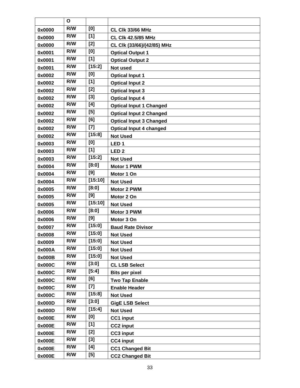|        | O   |         |                                |
|--------|-----|---------|--------------------------------|
| 0x0000 | R/W | [0]     | <b>CL CIK 33/66 MHz</b>        |
| 0x0000 | R/W | [1]     | <b>CL Clk 42.5/85 MHz</b>      |
| 0x0000 | R/W | $[2]$   | CL Clk (33/66)/(42/85) MHz     |
| 0x0001 | R/W | [0]     | <b>Optical Output 1</b>        |
| 0x0001 | R/W | [1]     | <b>Optical Output 2</b>        |
| 0x0001 | R/W | [15:2]  | <b>Not used</b>                |
| 0x0002 | R/W | [0]     | <b>Optical Input 1</b>         |
| 0x0002 | R/W | $[1]$   | <b>Optical Input 2</b>         |
| 0x0002 | R/W | [2]     | <b>Optical Input 3</b>         |
| 0x0002 | R/W | $[3]$   | <b>Optical Input 4</b>         |
| 0x0002 | R/W | [4]     | <b>Optical Input 1 Changed</b> |
| 0x0002 | R/W | [5]     | <b>Optical Input 2 Changed</b> |
| 0x0002 | R/W | [6]     | <b>Optical Input 3 Changed</b> |
| 0x0002 | R/W | $[7]$   | <b>Optical Input 4 changed</b> |
| 0x0002 | R/W | [15:8]  | <b>Not Used</b>                |
| 0x0003 | R/W | [0]     | LED <sub>1</sub>               |
| 0x0003 | R/W | [1]     | LED <sub>2</sub>               |
| 0x0003 | R/W | [15:2]  | <b>Not Used</b>                |
| 0x0004 | R/W | [8:0]   | Motor 1 PWM                    |
| 0x0004 | R/W | [9]     | Motor 1 On                     |
| 0x0004 | R/W | [15:10] | <b>Not Used</b>                |
| 0x0005 | R/W | [8:0]   | Motor 2 PWM                    |
| 0x0005 | R/W | [9]     | Motor 2 On                     |
| 0x0005 | R/W | [15:10] | <b>Not Used</b>                |
| 0x0006 | R/W | [8:0]   | Motor 3 PWM                    |
| 0x0006 | R/W | [9]     | Motor 3 On                     |
| 0x0007 | R/W | [15:0]  | <b>Baud Rate Divisor</b>       |
| 0x0008 | R/W | [15:0]  | <b>Not Used</b>                |
| 0x0009 | R/W | [15:0]  | <b>Not Used</b>                |
| 0x000A | R/W | [15:0]  | <b>Not Used</b>                |
| 0x000B | R/W | [15:0]  | <b>Not Used</b>                |
| 0x000C | R/W | [3:0]   | <b>CL LSB Select</b>           |
| 0x000C | R/W | [5:4]   | <b>Bits per pixel</b>          |
| 0x000C | R/W | [6]     | <b>Two Tap Enable</b>          |
| 0x000C | R/W | $[7]$   | <b>Enable Header</b>           |
| 0x000C | R/W | [15:8]  | <b>Not Used</b>                |
| 0x000D | R/W | [3:0]   | <b>GigE LSB Select</b>         |
| 0x000D | R/W | [15:4]  | <b>Not Used</b>                |
| 0x000E | R/W | [0]     | CC1 input                      |
| 0x000E | R/W | [1]     | CC2 input                      |
| 0x000E | R/W | $[2]$   | CC3 input                      |
| 0x000E | R/W | $[3]$   | CC4 input                      |
| 0x000E | R/W | [4]     | <b>CC1 Changed Bit</b>         |
|        | R/W | [5]     |                                |
| 0x000E |     |         | <b>CC2 Changed Bit</b>         |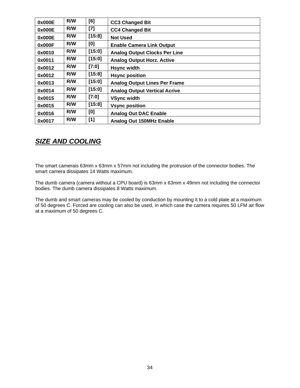| 0x000E | R/W | [6]    | <b>CC3 Changed Bit</b>               |
|--------|-----|--------|--------------------------------------|
| 0x000E | R/W | [7]    | <b>CC4 Changed Bit</b>               |
| 0x000E | R/W | [15:8] | <b>Not Used</b>                      |
| 0x000F | R/W | [0]    | <b>Enable Camera Link Output</b>     |
| 0x0010 | R/W | [15:0] | <b>Analog Output Clocks Per Line</b> |
| 0x0011 | R/W | [15:0] | <b>Analog Output Horz. Active</b>    |
| 0x0012 | R/W | [7:0]  | <b>Hsync width</b>                   |
| 0x0012 | R/W | [15:8] | <b>Hsync position</b>                |
| 0x0013 | R/W | [15:0] | <b>Analog Output Lines Per Frame</b> |
| 0x0014 | R/W | [15:0] | <b>Analog Output Vertical Acrive</b> |
| 0x0015 | R/W | [7:0]  | <b>VSync width</b>                   |
| 0x0015 | R/W | [15:8] | <b>Vsync position</b>                |
| 0x0016 | R/W | [0]    | <b>Analog Out DAC Enable</b>         |
| 0x0017 | R/W | [1]    | <b>Analog Out 150MHz Enable</b>      |

# *SIZE AND COOLING*

The smart camerais 63mm x 63mm x 57mm not including the protrusion of the connector bodies. The smart camera dissipates 14 Watts maximum.

The dumb camera (camera without a CPU board) is 63mm x 63mm x 49mm not including the connector bodies. The dumb camera dissipates 8 Watts maximum.

The dumb and smart cameras may be cooled by conduction by mounting it to a cold plate at a maximum of 50 degrees C. Forced are cooling can also be used, in which case the camera requires 50 LFM air flow at a maximum of 50 degrees C.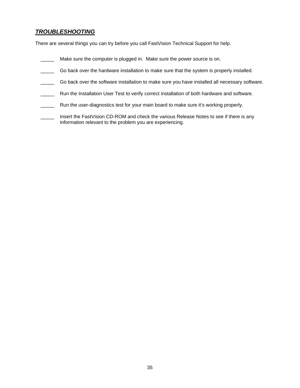# *TROUBLESHOOTING*

There are several things you can try before you call FastVision Technical Support for help.

- **\_\_\_\_\_** Make sure the computer is plugged in. Make sure the power source is on.
- Go back over the hardware installation to make sure that the system is properly installed.
- Go back over the software installation to make sure you have installed all necessary software.
- \_\_\_\_\_ Run the Installation User Test to verify correct installation of both hardware and software.
- **Numedia** Run the user-diagnostics test for your main board to make sure it's working properly.
- Insert the FastVision CD-ROM and check the various Release Notes to see if there is any information relevant to the problem you are experiencing.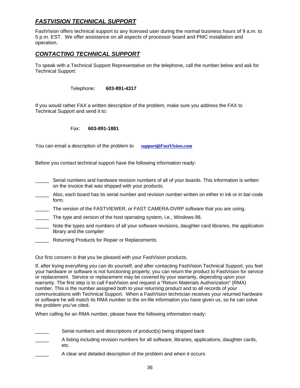# *FASTVISION TECHNICAL SUPPORT*

FastVision offers technical support to any licensed user during the normal business hours of 9 a.m. to 5 p.m. EST. We offer assistance on all aspects of processor board and PMC installation and operation.

# *CONTACTING TECHNICAL SUPPORT*

To speak with a Technical Support Representative on the telephone, call the number below and ask for Technical Support:

Telephone: **603-891-4317** 

If you would rather FAX a written description of the problem, make sure you address the FAX to Technical Support and send it to:

Fax: **603-891-1881** 

You can email a description of the problem to *support@FastVision.com*

Before you contact technical support have the following information ready:

- Serial numbers and hardware revision numbers of all of your boards. This information is written on the invoice that was shipped with your products.
- Also, each board has its serial number and revision number written on either in ink or in bar-code form.
- \_\_\_\_\_ The version of the FASTVIEWER, or FAST CAMERA-DVRP software that you are using.
- The type and version of the host operating system, i.e., Windows 98.
- \_\_\_\_\_ Note the types and numbers of all your software revisions, daughter card libraries, the application library and the compiler
- Returning Products for Repair or Replacements

Our first concern is that you be pleased with your FastVision products.

If, after trying everything you can do yourself, and after contacting FastVision Technical Support, you feel your hardware or software is not functioning properly, you can return the product to FastVision for service or replacement. Service or replacement may be covered by your warranty, depending upon your warranty. The first step is to call FastVision and request a "Return Materials Authorization" (RMA) number. This is the number assigned both to your returning product and to all records of your communications with Technical Support. When a FastVision technician receives your returned hardware or software he will match its RMA number to the on-file information you have given us, so he can solve the problem you've cited.

When calling for an RMA number, please have the following information ready:

- Serial numbers and descriptions of product(s) being shipped back
- A listing including revision numbers for all software, libraries, applications, daughter cards, etc.
- A clear and detailed description of the problem and when it occurs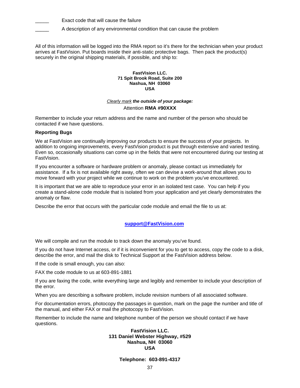Exact code that will cause the failure

A description of any environmental condition that can cause the problem

All of this information will be logged into the RMA report so it's there for the technician when your product arrives at FastVision. Put boards inside their anti-static protective bags. Then pack the product(s) securely in the original shipping materials, if possible, and ship to:

#### **FastVision LLC. 71 Spit Brook Road, Suite 200 Nashua, NH 03060 USA**

### *Clearly mark the outside of your package:*  Attention **RMA #90XXX**

Remember to include your return address and the name and number of the person who should be contacted if we have questions.

### **Reporting Bugs**

We at FastVision are continually improving our products to ensure the success of your projects. In addition to ongoing improvements, every FastVision product is put through extensive and varied testing. Even so, occasionally situations can come up in the fields that were not encountered during our testing at FastVision.

If you encounter a software or hardware problem or anomaly, please contact us immediately for assistance. If a fix is not available right away, often we can devise a work-around that allows you to move forward with your project while we continue to work on the problem you've encountered.

It is important that we are able to reproduce your error in an isolated test case. You can help if you create a stand-alone code module that is isolated from your application and yet clearly demonstrates the anomaly or flaw.

Describe the error that occurs with the particular code module and email the file to us at:

### **support@FastVision.com**

We will compile and run the module to track down the anomaly you've found.

If you do not have Internet access, or if it is inconvenient for you to get to access, copy the code to a disk, describe the error, and mail the disk to Technical Support at the FastVision address below.

If the code is small enough, you can also:

FAX the code module to us at 603-891-1881

If you are faxing the code, write everything large and legibly and remember to include your description of the error.

When you are describing a software problem, include revision numbers of all associated software.

For documentation errors, photocopy the passages in question, mark on the page the number and title of the manual, and either FAX or mail the photocopy to FastVision.

Remember to include the name and telephone number of the person we should contact if we have questions.

### **FastVision LLC. 131 Daniel Webster Highway, #529 Nashua, NH 03060 USA**

**Telephone: 603-891-4317**